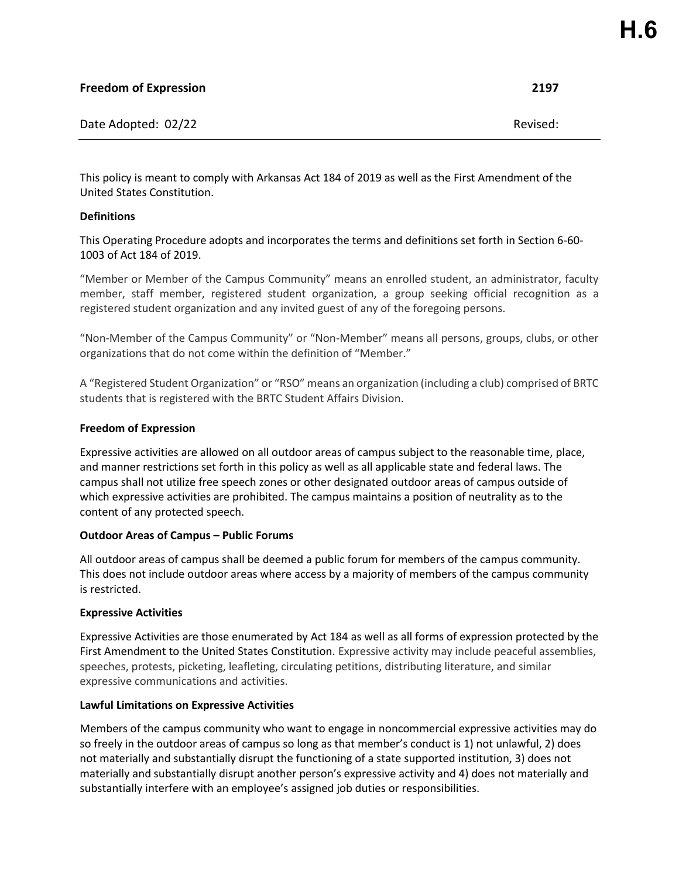| <b>Freedom of Expression</b> | 2197     |
|------------------------------|----------|
| Date Adopted: 02/22          | Revised: |

This policy is meant to comply with Arkansas Act 184 of 2019 as well as the First Amendment of the United States Constitution.

# **Definitions**

This Operating Procedure adopts and incorporates the terms and definitions set forth in Section 6-60- 1003 of Act 184 of 2019.

"Member or Member of the Campus Community" means an enrolled student, an administrator, faculty member, staff member, registered student organization, a group seeking official recognition as a registered student organization and any invited guest of any of the foregoing persons.

"Non-Member of the Campus Community" or "Non-Member" means all persons, groups, clubs, or other organizations that do not come within the definition of "Member."

A "Registered Student Organization" or "RSO" means an organization (including a club) comprised of BRTC students that is registered with the BRTC Student Affairs Division.

#### **Freedom of Expression**

Expressive activities are allowed on all outdoor areas of campus subject to the reasonable time, place, and manner restrictions set forth in this policy as well as all applicable state and federal laws. The campus shall not utilize free speech zones or other designated outdoor areas of campus outside of which expressive activities are prohibited. The campus maintains a position of neutrality as to the content of any protected speech.

#### **Outdoor Areas of Campus – Public Forums**

All outdoor areas of campus shall be deemed a public forum for members of the campus community. This does not include outdoor areas where access by a majority of members of the campus community is restricted.

# **Expressive Activities**

Expressive Activities are those enumerated by Act 184 as well as all forms of expression protected by the First Amendment to the United States Constitution. Expressive activity may include peaceful assemblies, speeches, protests, picketing, leafleting, circulating petitions, distributing literature, and similar expressive communications and activities.

#### **Lawful Limitations on Expressive Activities**

Members of the campus community who want to engage in noncommercial expressive activities may do so freely in the outdoor areas of campus so long as that member's conduct is 1) not unlawful, 2) does not materially and substantially disrupt the functioning of a state supported institution, 3) does not materially and substantially disrupt another person's expressive activity and 4) does not materially and substantially interfere with an employee's assigned job duties or responsibilities.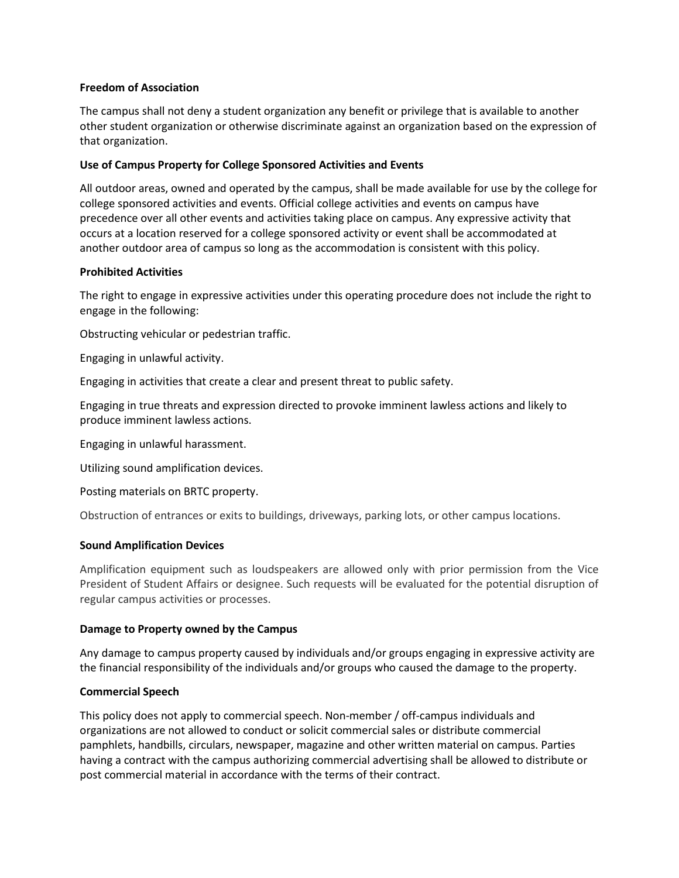#### **Freedom of Association**

The campus shall not deny a student organization any benefit or privilege that is available to another other student organization or otherwise discriminate against an organization based on the expression of that organization.

# **Use of Campus Property for College Sponsored Activities and Events**

All outdoor areas, owned and operated by the campus, shall be made available for use by the college for college sponsored activities and events. Official college activities and events on campus have precedence over all other events and activities taking place on campus. Any expressive activity that occurs at a location reserved for a college sponsored activity or event shall be accommodated at another outdoor area of campus so long as the accommodation is consistent with this policy.

# **Prohibited Activities**

The right to engage in expressive activities under this operating procedure does not include the right to engage in the following:

Obstructing vehicular or pedestrian traffic.

Engaging in unlawful activity.

Engaging in activities that create a clear and present threat to public safety.

Engaging in true threats and expression directed to provoke imminent lawless actions and likely to produce imminent lawless actions.

Engaging in unlawful harassment.

Utilizing sound amplification devices.

Posting materials on BRTC property.

Obstruction of entrances or exits to buildings, driveways, parking lots, or other campus locations.

# **Sound Amplification Devices**

Amplification equipment such as loudspeakers are allowed only with prior permission from the Vice President of Student Affairs or designee. Such requests will be evaluated for the potential disruption of regular campus activities or processes.

# **Damage to Property owned by the Campus**

Any damage to campus property caused by individuals and/or groups engaging in expressive activity are the financial responsibility of the individuals and/or groups who caused the damage to the property.

# **Commercial Speech**

This policy does not apply to commercial speech. Non-member / off-campus individuals and organizations are not allowed to conduct or solicit commercial sales or distribute commercial pamphlets, handbills, circulars, newspaper, magazine and other written material on campus. Parties having a contract with the campus authorizing commercial advertising shall be allowed to distribute or post commercial material in accordance with the terms of their contract.